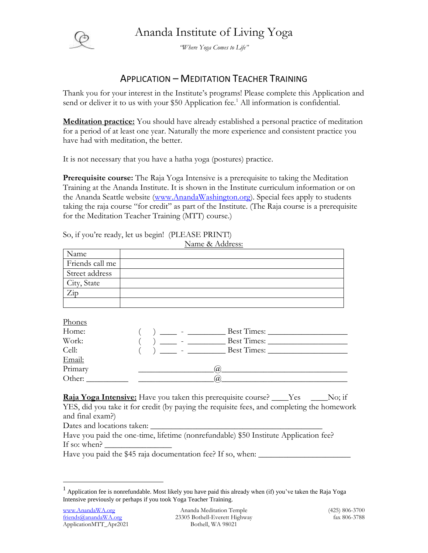



*"Where Yoga Comes to Life"*

## APPLICATION – MEDITATION TEACHER TRAINING

Thank you for your interest in the Institute's programs! Please complete this Application and send or deliver it to us with your \$50 Application fee.<sup>1</sup> All information is confidential.

**Meditation practice:** You should have already established a personal practice of meditation for a period of at least one year. Naturally the more experience and consistent practice you have had with meditation, the better.

It is not necessary that you have a hatha yoga (postures) practice.

**Prerequisite course:** The Raja Yoga Intensive is a prerequisite to taking the Meditation Training at the Ananda Institute. It is shown in the Institute curriculum information or on the Ananda Seattle website [\(www.AnandaWashington.org\)](http://www.anandawashington.org/). Special fees apply to students taking the raja course "for credit" as part of the Institute. (The Raja course is a prerequisite for the Meditation Teacher Training (MTT) course.)

| $\ldots$        |  |
|-----------------|--|
| Name            |  |
| Friends call me |  |
| Street address  |  |
| City, State     |  |
| Zip             |  |
|                 |  |

So, if you're ready, let us begin! (PLEASE PRINT!)

Phones Home: ( ) \_\_\_\_ - \_\_\_\_\_\_\_\_\_ Best Times: \_\_\_\_\_\_\_\_\_\_\_\_\_\_\_\_\_\_\_ Work:  $\qquad \qquad (\qquad )$   $\qquad \qquad \qquad$  -  $\qquad$  Best Times:  $Cell:$   $($   $)$   $Best Times:$ Email: Primary 2008 Primary 2008 Primary 2008 Primary 2008 Primary 2008 Primary 2008 Primary 2008 Primary 2008 Primary Other:  $\qquad \qquad$   $\qquad \qquad$   $\qquad \qquad$   $\qquad \qquad$   $\qquad \qquad$   $\qquad \qquad$   $\qquad \qquad$   $\qquad \qquad$   $\qquad \qquad$   $\qquad \qquad$   $\qquad \qquad$   $\qquad \qquad$   $\qquad \qquad$   $\qquad \qquad$   $\qquad$   $\qquad$   $\qquad \qquad$   $\qquad \qquad$   $\qquad \qquad$   $\qquad$   $\qquad$   $\qquad$   $\qquad$   $\qquad$   $\qquad$   $\qquad$   $\qquad$ 

Name & Address:

**Raja Yoga Intensive:** Have you taken this prerequisite course? \_\_\_\_Yes \_\_\_\_No; if YES, did you take it for credit (by paying the requisite fees, and completing the homework and final exam?)

Dates and locations taken:

Have you paid the one-time, lifetime (nonrefundable) \$50 Institute Application fee? If so: when?  $\overline{\phantom{a}}$ 

Have you paid the \$45 raja documentation fee? If so, when: \_\_\_\_\_\_\_\_\_\_\_\_\_\_\_\_\_\_\_\_\_

 $\overline{a}$ 

 $<sup>1</sup>$  Application fee is nonrefundable. Most likely you have paid this already when (if) you've taken the Raja Yoga</sup> Intensive previously or perhaps if you took Yoga Teacher Training.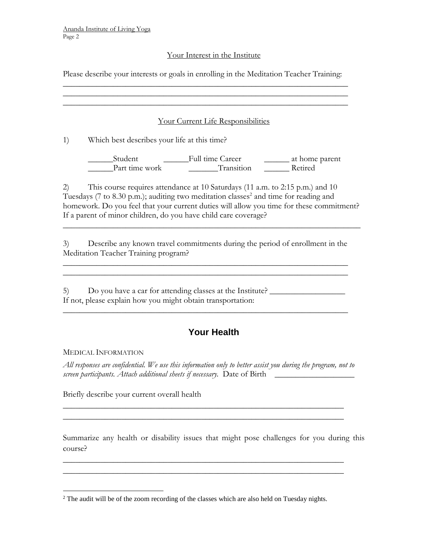### Your Interest in the Institute

Please describe your interests or goals in enrolling in the Meditation Teacher Training:

\_\_\_\_\_\_\_\_\_\_\_\_\_\_\_\_\_\_\_\_\_\_\_\_\_\_\_\_\_\_\_\_\_\_\_\_\_\_\_\_\_\_\_\_\_\_\_\_\_\_\_\_\_\_\_\_\_\_\_\_\_\_\_\_\_\_\_\_ \_\_\_\_\_\_\_\_\_\_\_\_\_\_\_\_\_\_\_\_\_\_\_\_\_\_\_\_\_\_\_\_\_\_\_\_\_\_\_\_\_\_\_\_\_\_\_\_\_\_\_\_\_\_\_\_\_\_\_\_\_\_\_\_\_\_\_\_

Your Current Life Responsibilities

1) Which best describes your life at this time?

\_\_\_\_\_\_Student \_\_\_\_\_\_Full time Career \_\_\_\_\_\_ at home parent \_\_\_\_\_\_Part time work \_\_\_\_\_\_\_Transition \_\_\_\_\_\_ Retired

2) This course requires attendance at 10 Saturdays (11 a.m. to 2:15 p.m.) and 10 Tuesdays (7 to 8.30 p.m.); auditing two meditation classes<sup>2</sup> and time for reading and homework. Do you feel that your current duties will allow you time for these commitment? If a parent of minor children, do you have child care coverage?  $\_$  , and the set of the set of the set of the set of the set of the set of the set of the set of the set of the set of the set of the set of the set of the set of the set of the set of the set of the set of the set of th

3) Describe any known travel commitments during the period of enrollment in the Meditation Teacher Training program?

\_\_\_\_\_\_\_\_\_\_\_\_\_\_\_\_\_\_\_\_\_\_\_\_\_\_\_\_\_\_\_\_\_\_\_\_\_\_\_\_\_\_\_\_\_\_\_\_\_\_\_\_\_\_\_\_\_\_\_\_\_\_\_\_\_\_\_\_

5) Do you have a car for attending classes at the Institute? If not, please explain how you might obtain transportation:

\_\_\_\_\_\_\_\_\_\_\_\_\_\_\_\_\_\_\_\_\_\_\_\_\_\_\_\_\_\_\_\_\_\_\_\_\_\_\_\_\_\_\_\_\_\_\_\_\_\_\_\_\_\_\_\_\_\_\_\_\_\_\_\_\_\_\_\_

# **Your Health**

### MEDICAL INFORMATION

*All responses are confidential. We use this information only to better assist you during the program, not to screen participants. Attach additional sheets if necessary.* Date of Birth \_\_\_\_\_\_\_\_\_\_\_\_\_\_\_\_\_\_\_

\_\_\_\_\_\_\_\_\_\_\_\_\_\_\_\_\_\_\_\_\_\_\_\_\_\_\_\_\_\_\_\_\_\_\_\_\_\_\_\_\_\_\_\_\_\_\_\_\_\_\_\_\_\_\_\_\_\_\_\_\_\_\_\_\_\_\_ \_\_\_\_\_\_\_\_\_\_\_\_\_\_\_\_\_\_\_\_\_\_\_\_\_\_\_\_\_\_\_\_\_\_\_\_\_\_\_\_\_\_\_\_\_\_\_\_\_\_\_\_\_\_\_\_\_\_\_\_\_\_\_\_\_\_\_

\_\_\_\_\_\_\_\_\_\_\_\_\_\_\_\_\_\_\_\_\_\_\_\_\_\_\_\_\_\_\_\_\_\_\_\_\_\_\_\_\_\_\_\_\_\_\_\_\_\_\_\_\_\_\_\_\_\_\_\_\_\_\_\_\_\_\_ \_\_\_\_\_\_\_\_\_\_\_\_\_\_\_\_\_\_\_\_\_\_\_\_\_\_\_\_\_\_\_\_\_\_\_\_\_\_\_\_\_\_\_\_\_\_\_\_\_\_\_\_\_\_\_\_\_\_\_\_\_\_\_\_\_\_\_

Briefly describe your current overall health

Summarize any health or disability issues that might pose challenges for you during this course?

 $\overline{a}$  $2$  The audit will be of the zoom recording of the classes which are also held on Tuesday nights.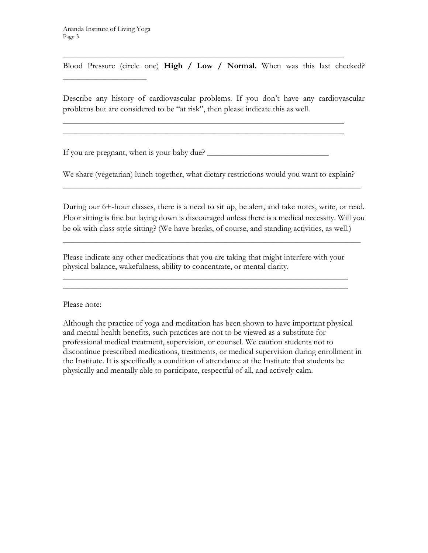$\overline{\phantom{a}}$  , where  $\overline{\phantom{a}}$ 

Blood Pressure (circle one) **High / Low / Normal.** When was this last checked?

\_\_\_\_\_\_\_\_\_\_\_\_\_\_\_\_\_\_\_\_\_\_\_\_\_\_\_\_\_\_\_\_\_\_\_\_\_\_\_\_\_\_\_\_\_\_\_\_\_\_\_\_\_\_\_\_\_\_\_\_\_\_\_\_\_\_\_

\_\_\_\_\_\_\_\_\_\_\_\_\_\_\_\_\_\_\_\_\_\_\_\_\_\_\_\_\_\_\_\_\_\_\_\_\_\_\_\_\_\_\_\_\_\_\_\_\_\_\_\_\_\_\_\_\_\_\_\_\_\_\_\_\_\_\_ \_\_\_\_\_\_\_\_\_\_\_\_\_\_\_\_\_\_\_\_\_\_\_\_\_\_\_\_\_\_\_\_\_\_\_\_\_\_\_\_\_\_\_\_\_\_\_\_\_\_\_\_\_\_\_\_\_\_\_\_\_\_\_\_\_\_\_

Describe any history of cardiovascular problems. If you don't have any cardiovascular problems but are considered to be "at risk", then please indicate this as well.

If you are pregnant, when is your baby due? \_\_\_\_\_\_\_\_\_\_\_\_\_\_\_\_\_\_\_\_\_\_\_\_\_\_\_\_\_

We share (vegetarian) lunch together, what dietary restrictions would you want to explain?  $\_$  , and the set of the set of the set of the set of the set of the set of the set of the set of the set of the set of the set of the set of the set of the set of the set of the set of the set of the set of the set of th

During our 6+-hour classes, there is a need to sit up, be alert, and take notes, write, or read. Floor sitting is fine but laying down is discouraged unless there is a medical necessity. Will you be ok with class-style sitting? (We have breaks, of course, and standing activities, as well.)

 $\_$  , and the set of the set of the set of the set of the set of the set of the set of the set of the set of the set of the set of the set of the set of the set of the set of the set of the set of the set of the set of th

Please indicate any other medications that you are taking that might interfere with your physical balance, wakefulness, ability to concentrate, or mental clarity.

\_\_\_\_\_\_\_\_\_\_\_\_\_\_\_\_\_\_\_\_\_\_\_\_\_\_\_\_\_\_\_\_\_\_\_\_\_\_\_\_\_\_\_\_\_\_\_\_\_\_\_\_\_\_\_\_\_\_\_\_\_\_\_\_\_\_\_\_ \_\_\_\_\_\_\_\_\_\_\_\_\_\_\_\_\_\_\_\_\_\_\_\_\_\_\_\_\_\_\_\_\_\_\_\_\_\_\_\_\_\_\_\_\_\_\_\_\_\_\_\_\_\_\_\_\_\_\_\_\_\_\_\_\_\_\_\_

Please note:

Although the practice of yoga and meditation has been shown to have important physical and mental health benefits, such practices are not to be viewed as a substitute for professional medical treatment, supervision, or counsel. We caution students not to discontinue prescribed medications, treatments, or medical supervision during enrollment in the Institute. It is specifically a condition of attendance at the Institute that students be physically and mentally able to participate, respectful of all, and actively calm.